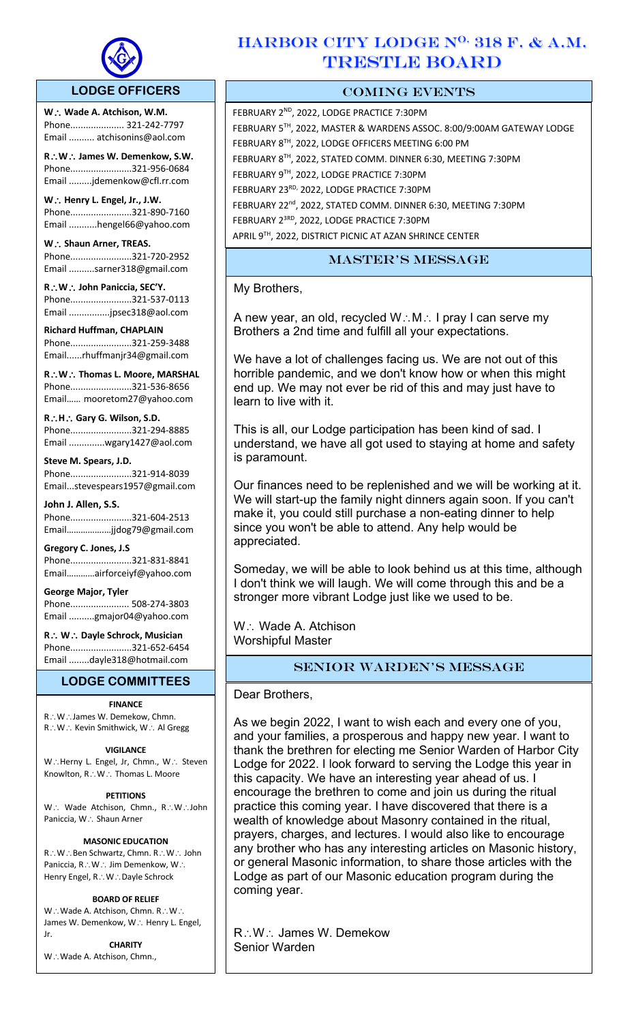

 $\overline{a}$ 

## **LODGE OFFICERS**

**W**. ∴ Wade A. Atchison, W.M. Phone..................... 321-242-7797 Email .......... atchisonins@aol.com

**R**\**W**\ **James W. Demenkow, S.W.** Phone........................321-956-0684 Email .........jdemenkow@cfl.rr.com

**W∴ Henry L. Engel, Jr., J.W.** Phone........................321-890-7160 Email ...........hengel66@yahoo.com

W.: Shaun Arner, TREAS. Phone........................321-720-2952 Email ..........sarner318@gmail.com

**R**\**W**\ **John Paniccia, SEC'Y.** Phone........................321-537-0113 Email ................jpsec318@aol.com

**Richard Huffman, CHAPLAIN** Phone........................321-259-3488 Email......rhuffmanjr34@gmail.com

**R**\**W**\ **Thomas L. Moore, MARSHAL**  Phone........................321-536-8656 Email…… mooretom27@yahoo.com

**R**\**H**\ **Gary G. Wilson, S.D.**  Phone........................321-294-8885 Email ..............wgary1427@aol.com

**Steve M. Spears, J.D.** Phone........................321-914-8039 Email...stevespears1957@gmail.com

**John J. Allen, S.S.** Phone........................321-604-2513 Email…………….…jjdog79@gmail.com

**Gregory C. Jones, J.S** Phone........................321-831-8841 Email…………airforceiyf@yahoo.com

**George Major, Tyler**  Phone....................... 508-274-3803 Email ..........gmajor04@yahoo.com

**R**\ **W**\ **Dayle Schrock, Musician**  Phone........................321-652-6454 Email ........dayle318@hotmail.com

## **LODGE COMMITTEES**

#### **FINANCE**

R∴W∴James W. Demekow, Chmn.  $R\colon W\colon K$ evin Smithwick, W $\colon A$ l Gregg

#### **VIGILANCE**

W.: Herny L. Engel, Jr, Chmn., W.: Steven Knowlton,  $R\mathcal{N}\times\mathcal{N}$ . Thomas L. Moore

#### **PETITIONS**

W.: Wade Atchison, Chmn., R.: W.: John Paniccia, W.: Shaun Arner

#### **MASONIC EDUCATION**

R.: W∴Ben Schwartz, Chmn. R∴W∴ John Paniccia, R.: W.: Jim Demenkow, W.: Henry Engel, R∴W∴Dayle Schrock

#### **BOARD OF RELIEF**

 $W:\mathsf{W}\alpha$ de A. Atchison, Chmn. R $\therefore$ W $\therefore$ James W. Demenkow, W.: Henry L. Engel, Jr.

**CHARITY** W.: Wade A. Atchison, Chmn.,

## HARBOR CITY LODGE N<sup>O.</sup> 318 F. & A.M. TRESTLE BOARD

## COMING EVENTS

FEBRUARY 2ND, 2022, LODGE PRACTICE 7:30PM FEBRUARY 5TH, 2022, MASTER & WARDENS ASSOC. 8:00/9:00AM GATEWAY LODGE FEBRUARY 8TH, 2022, LODGE OFFICERS MEETING 6:00 PM FEBRUARY 8TH, 2022, STATED COMM. DINNER 6:30, MEETING 7:30PM FEBRUARY 9TH, 2022, LODGE PRACTICE 7:30PM FEBRUARY 23RD, 2022, LODGE PRACTICE 7:30PM FEBRUARY 22<sup>nd</sup>, 2022, STATED COMM. DINNER 6:30, MEETING 7:30PM FEBRUARY 23RD, 2022, LODGE PRACTICE 7:30PM APRIL 9TH, 2022, DISTRICT PICNIC AT AZAN SHRINCE CENTER

## master's message

My Brothers,

A new year, an old, recycled  $W:M\rightarrow V$  pray I can serve my Brothers a 2nd time and fulfill all your expectations.

We have a lot of challenges facing us. We are not out of this horrible pandemic, and we don't know how or when this might end up. We may not ever be rid of this and may just have to learn to live with it.

This is all, our Lodge participation has been kind of sad. I understand, we have all got used to staying at home and safety is paramount.

Our finances need to be replenished and we will be working at it. We will start-up the family night dinners again soon. If you can't make it, you could still purchase a non-eating dinner to help since you won't be able to attend. Any help would be appreciated.

Someday, we will be able to look behind us at this time, although I don't think we will laugh. We will come through this and be a stronger more vibrant Lodge just like we used to be.

W.: Wade A. Atchison Worshipful Master

## Senior Warden's message

Dear Brothers,

As we begin 2022, I want to wish each and every one of you, and your families, a prosperous and happy new year. I want to thank the brethren for electing me Senior Warden of Harbor City Lodge for 2022. I look forward to serving the Lodge this year in this capacity. We have an interesting year ahead of us. I encourage the brethren to come and join us during the ritual practice this coming year. I have discovered that there is a wealth of knowledge about Masonry contained in the ritual, prayers, charges, and lectures. I would also like to encourage any brother who has any interesting articles on Masonic history, or general Masonic information, to share those articles with the Lodge as part of our Masonic education program during the coming year.

R: W: James W. Demekow Senior Warden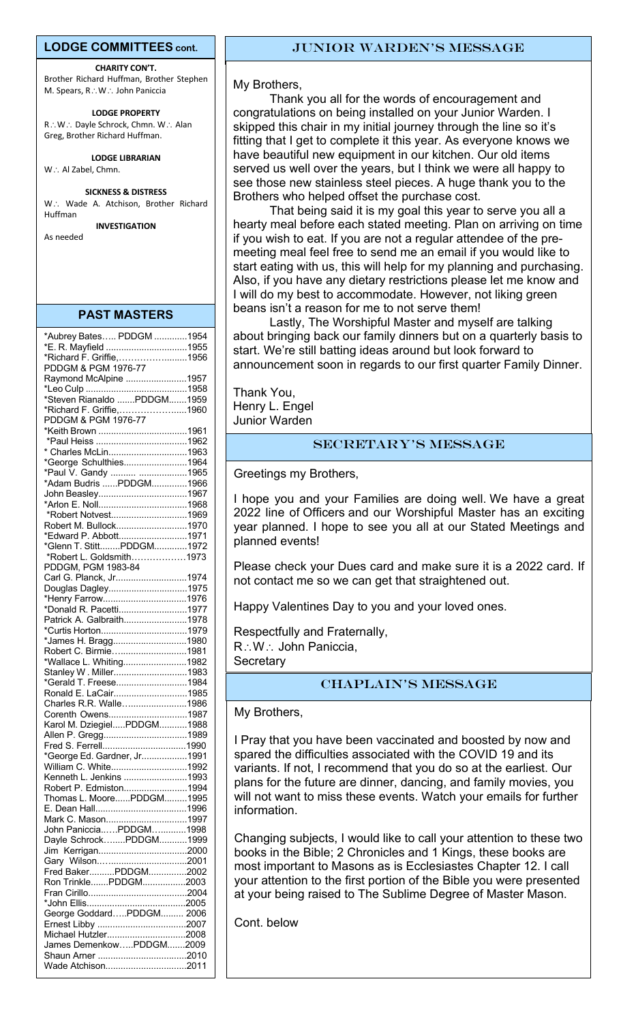#### **LODGE COMMITTEES cont.**

**CHARITY CON'T.** Brother Richard Huffman, Brother Stephen M. Spears, R.: W.: John Paniccia

**LODGE PROPERTY** R: W: Dayle Schrock, Chmn. W: Alan Greg, Brother Richard Huffman.

**LODGE LIBRARIAN**

W∴ Al Zabel, Chmn.

#### **SICKNESS & DISTRESS**

W.: Wade A. Atchison, Brother Richard Huffman

**INVESTIGATION**

As needed

| *Aubrey Bates PDDGM 1954                        |  |
|-------------------------------------------------|--|
| *E. R. Mayfield 1955                            |  |
| *Richard F. Griffie,1956                        |  |
| PDDGM & PGM 1976-77                             |  |
| Raymond McAlpine 1957                           |  |
|                                                 |  |
| *Steven Rianaldo PDDGM1959                      |  |
|                                                 |  |
| *Richard F. Griffie,1960<br>PDDGM & PGM 1976-77 |  |
|                                                 |  |
|                                                 |  |
| * Charles McLin1963                             |  |
| *George Schulthies1964                          |  |
| *Paul V. Gandy  1965                            |  |
| *Adam Budris PDDGM1966                          |  |
| John Beasley1967                                |  |
|                                                 |  |
| *Robert Notvest1969                             |  |
| Robert M. Bullock1970                           |  |
| *Edward P. Abbott1971                           |  |
| *Glenn T. StittPDDGM1972                        |  |
|                                                 |  |
| *Robert L. Goldsmith1973                        |  |
| PDDGM, PGM 1983-84<br>Carl G. Planck, Jr1974    |  |
|                                                 |  |
| Douglas Dagley1975                              |  |
| *Henry Farrow1976                               |  |
| *Donald R. Pacetti1977                          |  |
| Patrick A. Galbraith1978                        |  |
| *Curtis Horton1979                              |  |
| *James H. Bragg1980                             |  |
| Robert C. Birmie1981                            |  |
| *Wallace L. Whiting1982                         |  |
| Stanley W. Miller1983                           |  |
| *Gerald T. Freese1984                           |  |
| Ronald E. LaCair1985                            |  |
| Charles R.R. Walle1986                          |  |
| Corenth Owens1987                               |  |
| Karol M. DziegielPDDGM1988                      |  |
| Allen P. Gregg1989                              |  |
|                                                 |  |
| *George Ed. Gardner, Jr1991                     |  |
| William C. White1992                            |  |
| Kenneth L. Jenkins 1993                         |  |
| Robert P. Edmiston1994                          |  |
| Thomas L. MoorePDDGM1995                        |  |
|                                                 |  |
| Mark C. Mason1997                               |  |
| John PanicciaPDDGM1998                          |  |
| Dayle SchrockPDDGM1999                          |  |
| Jim                                             |  |
| Gary Wilson2001                                 |  |
| Fred BakerPDDGM2002                             |  |
| Ron TrinklePDDGM2003                            |  |
|                                                 |  |
|                                                 |  |
| George GoddardPDDGM 2006                        |  |
|                                                 |  |
| Michael Hutzler2008                             |  |
| James DemenkowPDDGM2009                         |  |
|                                                 |  |
| Wade Atchison2011                               |  |

My Brothers,

Thank you all for the words of encouragement and congratulations on being installed on your Junior Warden. I skipped this chair in my initial journey through the line so it's fitting that I get to complete it this year. As everyone knows we have beautiful new equipment in our kitchen. Our old items served us well over the years, but I think we were all happy to see those new stainless steel pieces. A huge thank you to the Brothers who helped offset the purchase cost.

That being said it is my goal this year to serve you all a hearty meal before each stated meeting. Plan on arriving on time if you wish to eat. If you are not a regular attendee of the premeeting meal feel free to send me an email if you would like to start eating with us, this will help for my planning and purchasing. Also, if you have any dietary restrictions please let me know and I will do my best to accommodate. However, not liking green beans isn't a reason for me to not serve them!

Lastly, The Worshipful Master and myself are talking about bringing back our family dinners but on a quarterly basis to start. We're still batting ideas around but look forward to announcement soon in regards to our first quarter Family Dinner.

Thank You, Henry L. Engel Junior Warden

## SECRETARY'S MESSAGE

Greetings my Brothers,

I hope you and your Families are doing well. We have a great 2022 line of Officers and our Worshipful Master has an exciting year planned. I hope to see you all at our Stated Meetings and planned events!

Please check your Dues card and make sure it is a 2022 card. If not contact me so we can get that straightened out.

Happy Valentines Day to you and your loved ones.

Respectfully and Fraternally, R: W: John Paniccia, **Secretary** 

## CHAPLAIN's message

My Brothers,

variants. If not, I recommend that you do so at the earliest. Our I Pray that you have been vaccinated and boosted by now and spared the difficulties associated with the COVID 19 and its plans for the future are dinner, dancing, and family movies, you will not want to miss these events. Watch your emails for further information.

Changing subjects, I would like to call your attention to these two books in the Bible; 2 Chronicles and 1 Kings, these books are most important to Masons as is Ecclesiastes Chapter 12. I call your attention to the first portion of the Bible you were presented at your being raised to The Sublime Degree of Master Mason.

Cont. below